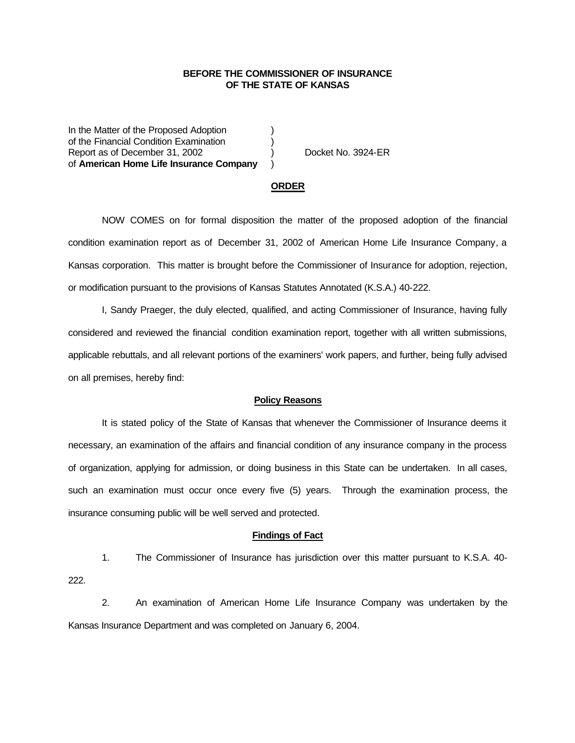## **BEFORE THE COMMISSIONER OF INSURANCE OF THE STATE OF KANSAS**

In the Matter of the Proposed Adoption of the Financial Condition Examination ) Report as of December 31, 2002 (a) Docket No. 3924-ER of **American Home Life Insurance Company** )

### **ORDER**

NOW COMES on for formal disposition the matter of the proposed adoption of the financial condition examination report as of December 31, 2002 of American Home Life Insurance Company, a Kansas corporation. This matter is brought before the Commissioner of Insurance for adoption, rejection, or modification pursuant to the provisions of Kansas Statutes Annotated (K.S.A.) 40-222.

I, Sandy Praeger, the duly elected, qualified, and acting Commissioner of Insurance, having fully considered and reviewed the financial condition examination report, together with all written submissions, applicable rebuttals, and all relevant portions of the examiners' work papers, and further, being fully advised on all premises, hereby find:

#### **Policy Reasons**

It is stated policy of the State of Kansas that whenever the Commissioner of Insurance deems it necessary, an examination of the affairs and financial condition of any insurance company in the process of organization, applying for admission, or doing business in this State can be undertaken. In all cases, such an examination must occur once every five (5) years. Through the examination process, the insurance consuming public will be well served and protected.

#### **Findings of Fact**

1. The Commissioner of Insurance has jurisdiction over this matter pursuant to K.S.A. 40- 222.

2. An examination of American Home Life Insurance Company was undertaken by the Kansas Insurance Department and was completed on January 6, 2004.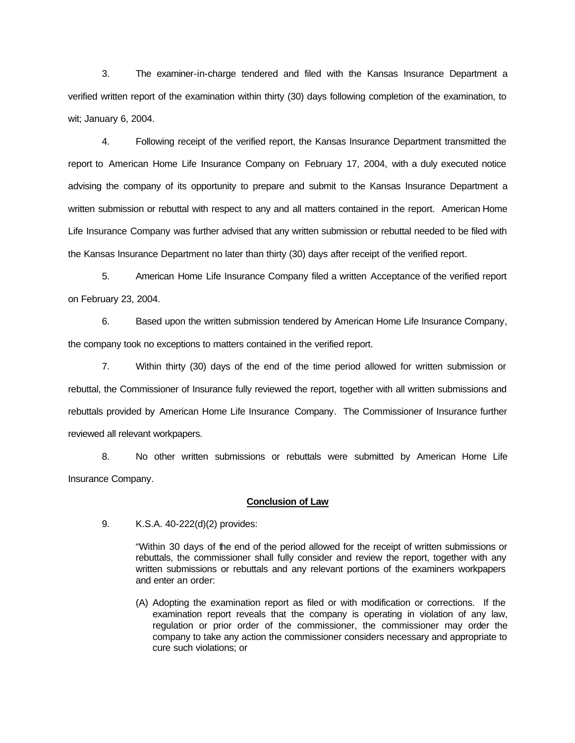3. The examiner-in-charge tendered and filed with the Kansas Insurance Department a verified written report of the examination within thirty (30) days following completion of the examination, to wit; January 6, 2004.

4. Following receipt of the verified report, the Kansas Insurance Department transmitted the report to American Home Life Insurance Company on February 17, 2004, with a duly executed notice advising the company of its opportunity to prepare and submit to the Kansas Insurance Department a written submission or rebuttal with respect to any and all matters contained in the report. American Home Life Insurance Company was further advised that any written submission or rebuttal needed to be filed with the Kansas Insurance Department no later than thirty (30) days after receipt of the verified report.

5. American Home Life Insurance Company filed a written Acceptance of the verified report on February 23, 2004.

6. Based upon the written submission tendered by American Home Life Insurance Company, the company took no exceptions to matters contained in the verified report.

7. Within thirty (30) days of the end of the time period allowed for written submission or rebuttal, the Commissioner of Insurance fully reviewed the report, together with all written submissions and rebuttals provided by American Home Life Insurance Company. The Commissioner of Insurance further reviewed all relevant workpapers.

8. No other written submissions or rebuttals were submitted by American Home Life Insurance Company.

## **Conclusion of Law**

9. K.S.A. 40-222(d)(2) provides:

"Within 30 days of the end of the period allowed for the receipt of written submissions or rebuttals, the commissioner shall fully consider and review the report, together with any written submissions or rebuttals and any relevant portions of the examiners workpapers and enter an order:

(A) Adopting the examination report as filed or with modification or corrections. If the examination report reveals that the company is operating in violation of any law, regulation or prior order of the commissioner, the commissioner may order the company to take any action the commissioner considers necessary and appropriate to cure such violations; or